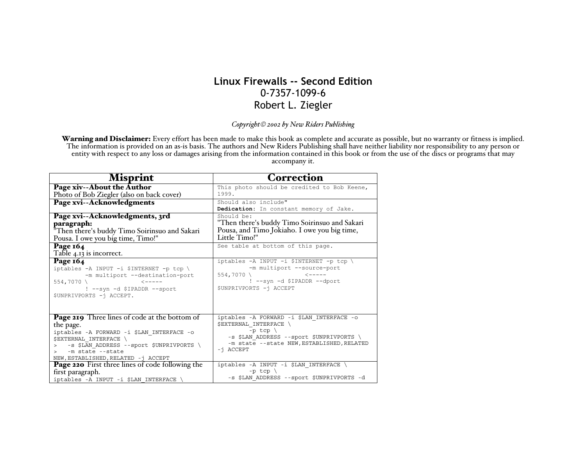## **Linux Firewalls -- Second Edition** 0-7357-1099-6 Robert L. Ziegler

*Copyright 2002 by New Riders Publishing*

Warning and Disclaimer: Every effort has been made to make this book as complete and accurate as possible, but no warranty or fitness is implied.<br>The information is provided on an as-is basis. The authors and New Riders Pu entity with respect to any loss or damages arising from the information contained in this book or from the use of the discs or programs that may accompany it.

| <b>Misprint</b>                                                                                                                                                                                                                                  | <b>Correction</b>                                                                                                                                                                                     |
|--------------------------------------------------------------------------------------------------------------------------------------------------------------------------------------------------------------------------------------------------|-------------------------------------------------------------------------------------------------------------------------------------------------------------------------------------------------------|
| Page xiv--About the Author<br>Photo of Bob Ziegler (also on back cover)                                                                                                                                                                          | This photo should be credited to Bob Keene,<br>1999.                                                                                                                                                  |
| Page xvi--Acknowledgments                                                                                                                                                                                                                        | Should also include"<br>Dedication: In constant memory of Jake.                                                                                                                                       |
| Page xvi--Acknowledgments, 3rd<br>paragraph:<br>"Then there's buddy Timo Soirinsuo and Sakari<br>Pousa. I owe you big time, Timo!"                                                                                                               | Should be:<br>"Then there's buddy Timo Soirinsuo and Sakari<br>Pousa, and Timo Jokiaho. I owe you big time,<br>Little Timo!"                                                                          |
| Page $164$<br>Table 4.13 is incorrect.                                                                                                                                                                                                           | See table at bottom of this page.                                                                                                                                                                     |
| Page 164<br>iptables -A INPUT -i \$INTERNET -p tcp \<br>-m multiport --destination-port<br>554,7070 \<br>$\leftarrow$ - - - -<br>! --syn -d \$IPADDR --sport<br>\$UNPRIVPORTS -i ACCEPT.                                                         | iptables -A INPUT -i \$INTERNET -p tcp \<br>-m multiport --source-port<br>554,7070 \<br>$\leftarrow$ $   -$<br>! --syn -d \$IPADDR --dport<br>\$UNPRIVPORTS -i ACCEPT                                 |
| Page 219 Three lines of code at the bottom of<br>the page.<br>iptables -A FORWARD -i \$LAN INTERFACE -o<br><b>\$EXTERNAL INTERFACE \</b><br>> -s \$LAN ADDRESS --sport \$UNPRIVPORTS<br>-m state --state<br>NEW, ESTABLISHED, RELATED - j ACCEPT | iptables -A FORWARD -i \$LAN INTERFACE -o<br><b>\$EXTERNAL INTERFACE \</b><br>$-p$ tcp $\langle$<br>-s \$LAN ADDRESS --sport \$UNPRIVPORTS<br>-m state --state NEW, ESTABLISHED, RELATED<br>-i ACCEPT |
| <b>Page 220</b> First three lines of code following the<br>first paragraph.<br>iptables -A INPUT -i \$LAN INTERFACE \                                                                                                                            | iptables -A INPUT -i \$LAN_INTERFACE \<br>-p tcp $\langle$<br>-s \$LAN ADDRESS --sport \$UNPRIVPORTS -d                                                                                               |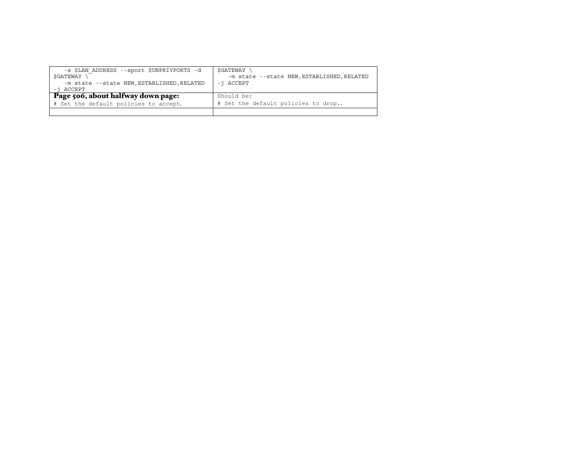| -s \$LAN ADDRESS --sport \$UNPRIVPORTS -d<br>SGATEWAY<br>-m state --state NEW, ESTABLISHED, RELATED<br>-i ACCEPT | SGATEWAY<br>-m state --state NEW, ESTABLISHED, RELATED<br>-i ACCEPT |
|------------------------------------------------------------------------------------------------------------------|---------------------------------------------------------------------|
| Page 506, about halfway down page:                                                                               | Should be:                                                          |
| # Set the default policies to accept.                                                                            | # Set the default policies to drop                                  |
|                                                                                                                  |                                                                     |